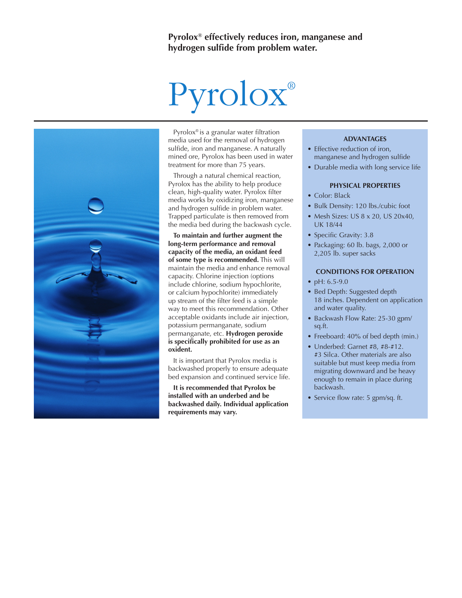# Pyrolox®

Pyrolox® is a granular water filtration media used for the removal of hydrogen sulfide, iron and manganese. A naturally mined ore, Pyrolox has been used in water treatment for more than 75 years.

Through a natural chemical reaction, Pyrolox has the ability to help produce clean, high-quality water. Pyrolox filter media works by oxidizing iron, manganese and hydrogen sulfide in problem water. Trapped particulate is then removed from the media bed during the backwash cycle.

**To maintain and further augment the long-term performance and removal capacity of the media, an oxidant feed of some type is recommended.** This will maintain the media and enhance removal capacity. Chlorine injection (options include chlorine, sodium hypochlorite, or calcium hypochlorite) immediately up stream of the filter feed is a simple way to meet this recommendation. Other acceptable oxidants include air injection, potassium permanganate, sodium permanganate, etc. **Hydrogen peroxide is specifically prohibited for use as an oxident.**

It is important that Pyrolox media is backwashed properly to ensure adequate bed expansion and continued service life.

**It is recommended that Pyrolox be installed with an underbed and be backwashed daily. Individual application requirements may vary.**

# **ADVANTAGES**

- Effective reduction of iron, manganese and hydrogen sulfide
- Durable media with long service life

### **PHYSICAL PROPERTIES**

- Color: Black
- Bulk Density: 120 lbs./cubic foot
- Mesh Sizes: US 8 x 20, US 20x40, UK 18/44
- Specific Gravity: 3.8
- Packaging: 60 lb. bags, 2,000 or 2,205 lb. super sacks

# **CONDITIONS FOR OPERATION**

- pH: 6.5-9.0
- Bed Depth: Suggested depth 18 inches. Dependent on application and water quality.
- Backwash Flow Rate: 25-30 gpm/ sq.ft.
- Freeboard: 40% of bed depth (min.)
- Underbed: Garnet #8, #8-#12. #3 Silca. Other materials are also suitable but must keep media from migrating downward and be heavy enough to remain in place during backwash.
- Service flow rate: 5 gpm/sq. ft.